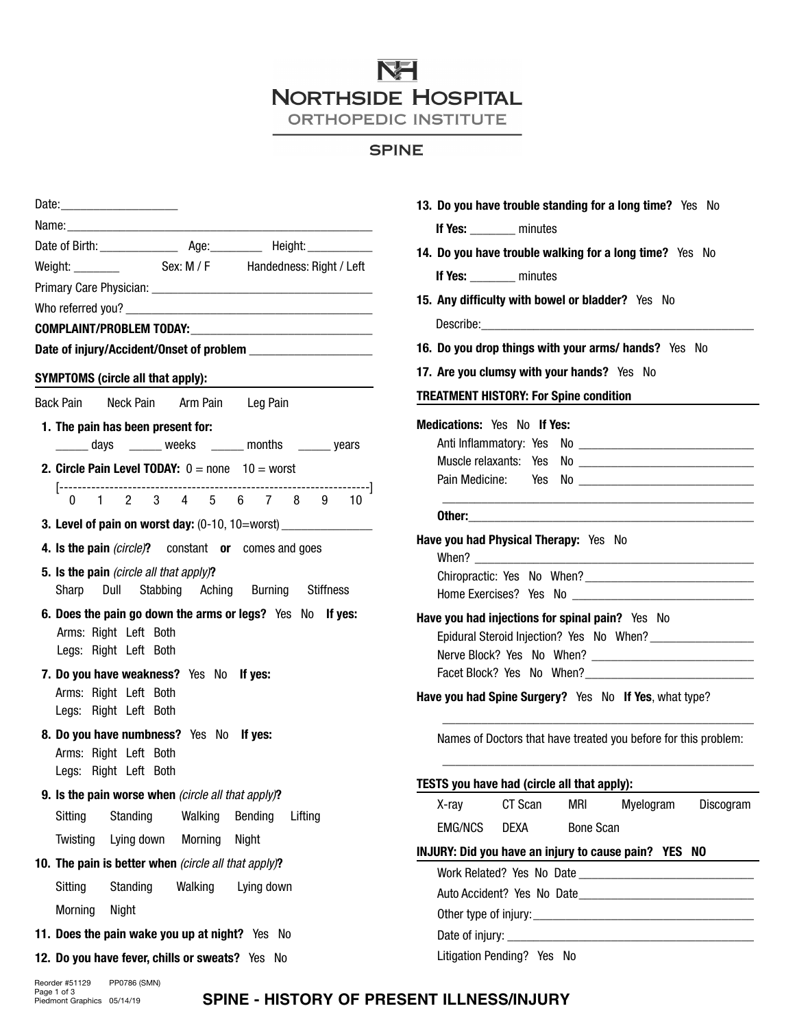# **NEI NORTHSIDE HOSPITAL**

ORTHOPEDIC INSTITUTE

## **SPINE**

| Date: 2008            |            |                                                                                                                                                                                                                                |            |                                                                                  |
|-----------------------|------------|--------------------------------------------------------------------------------------------------------------------------------------------------------------------------------------------------------------------------------|------------|----------------------------------------------------------------------------------|
|                       |            | Name: when the contract of the contract of the contract of the contract of the contract of the contract of the contract of the contract of the contract of the contract of the contract of the contract of the contract of the |            |                                                                                  |
|                       |            |                                                                                                                                                                                                                                |            |                                                                                  |
|                       |            |                                                                                                                                                                                                                                |            |                                                                                  |
|                       |            |                                                                                                                                                                                                                                |            |                                                                                  |
|                       |            |                                                                                                                                                                                                                                |            |                                                                                  |
|                       |            |                                                                                                                                                                                                                                |            |                                                                                  |
|                       |            |                                                                                                                                                                                                                                |            |                                                                                  |
|                       |            | SYMPTOMS (circle all that apply):                                                                                                                                                                                              |            |                                                                                  |
|                       |            | Back Pain Neck Pain Arm Pain Leg Pain                                                                                                                                                                                          |            |                                                                                  |
|                       |            | 1. The pain has been present for:                                                                                                                                                                                              |            |                                                                                  |
|                       |            |                                                                                                                                                                                                                                |            | days ______ weeks ______ months ______ years                                     |
|                       |            | <b>2. Circle Pain Level TODAY:</b> $0 =$ none $10 =$ worst                                                                                                                                                                     |            |                                                                                  |
|                       |            |                                                                                                                                                                                                                                |            | --------]                                                                        |
|                       |            |                                                                                                                                                                                                                                |            |                                                                                  |
|                       |            |                                                                                                                                                                                                                                |            | 3. Level of pain on worst day: (0-10, 10=worst) ________________________________ |
|                       |            | 4. Is the pain (circle)? constant or comes and goes                                                                                                                                                                            |            |                                                                                  |
|                       |            | 5. Is the pain (circle all that apply)?                                                                                                                                                                                        |            |                                                                                  |
|                       |            | Sharp Dull Stabbing Aching Burning Stiffness                                                                                                                                                                                   |            |                                                                                  |
| Arms: Right Left Both |            | 6. Does the pain go down the arms or legs? Yes No If yes:                                                                                                                                                                      |            |                                                                                  |
| Legs: Right Left Both |            |                                                                                                                                                                                                                                |            |                                                                                  |
|                       |            | 7. Do you have weakness? Yes No If yes:                                                                                                                                                                                        |            |                                                                                  |
| Arms: Right Left Both |            |                                                                                                                                                                                                                                |            |                                                                                  |
| Legs: Right Left Both |            |                                                                                                                                                                                                                                |            |                                                                                  |
|                       |            | 8. Do you have numbness? Yes No If yes:                                                                                                                                                                                        |            |                                                                                  |
| Arms: Right Left Both |            |                                                                                                                                                                                                                                |            |                                                                                  |
| Legs: Right Left Both |            |                                                                                                                                                                                                                                |            |                                                                                  |
|                       |            | 9. Is the pain worse when (circle all that apply)?                                                                                                                                                                             |            |                                                                                  |
| Sitting               | Standing   | Walking                                                                                                                                                                                                                        | Bending    | Lifting                                                                          |
| Twisting              | Lying down | Morning                                                                                                                                                                                                                        | Night      |                                                                                  |
|                       |            | 10. The pain is better when (circle all that apply)?                                                                                                                                                                           |            |                                                                                  |
| Sitting               | Standing   | Walking                                                                                                                                                                                                                        | Lying down |                                                                                  |
| Morning               | Night      |                                                                                                                                                                                                                                |            |                                                                                  |
|                       |            | 11. Does the pain wake you up at night? Yes No                                                                                                                                                                                 |            |                                                                                  |
|                       |            | 12. Do you have fever, chills or sweats? Yes                                                                                                                                                                                   | No         |                                                                                  |

| 13. Do you have trouble standing for a long time? Yes No        |
|-----------------------------------------------------------------|
| If Yes: ________ minutes                                        |
| 14. Do you have trouble walking for a long time? Yes No         |
| If Yes: ________ minutes                                        |
| 15. Any difficulty with bowel or bladder? Yes No                |
|                                                                 |
| 16. Do you drop things with your arms/ hands? Yes No            |
| 17. Are you clumsy with your hands? Yes No                      |
| <b>TREATMENT HISTORY: For Spine condition</b>                   |
|                                                                 |
| <b>Medications: Yes No If Yes:</b>                              |
|                                                                 |
|                                                                 |
|                                                                 |
|                                                                 |
| Have you had Physical Therapy: Yes No                           |
|                                                                 |
| Have you had injections for spinal pain? Yes No                 |
|                                                                 |
|                                                                 |
| Have you had Spine Surgery? Yes No If Yes, what type?           |
| Names of Doctors that have treated you before for this problem: |
| TESTS you have had (circle all that apply):                     |
| CT Scan<br>X-ray<br>mri<br>Myelogram<br>Discogram               |
| <b>EMG/NCS</b><br><b>Bone Scan</b><br><b>DEXA</b>               |
| INJURY: Did you have an injury to cause pain? YES NO            |
|                                                                 |
|                                                                 |
|                                                                 |
|                                                                 |

Reorder #51129 PP0786 (SMN)<br>Page 1 of 3<br>Piedmont Graphics 05/14/19

#### **SPINE - HISTORY OF PRESENT ILLNESS/INJURY**

Litigation Pending? Yes No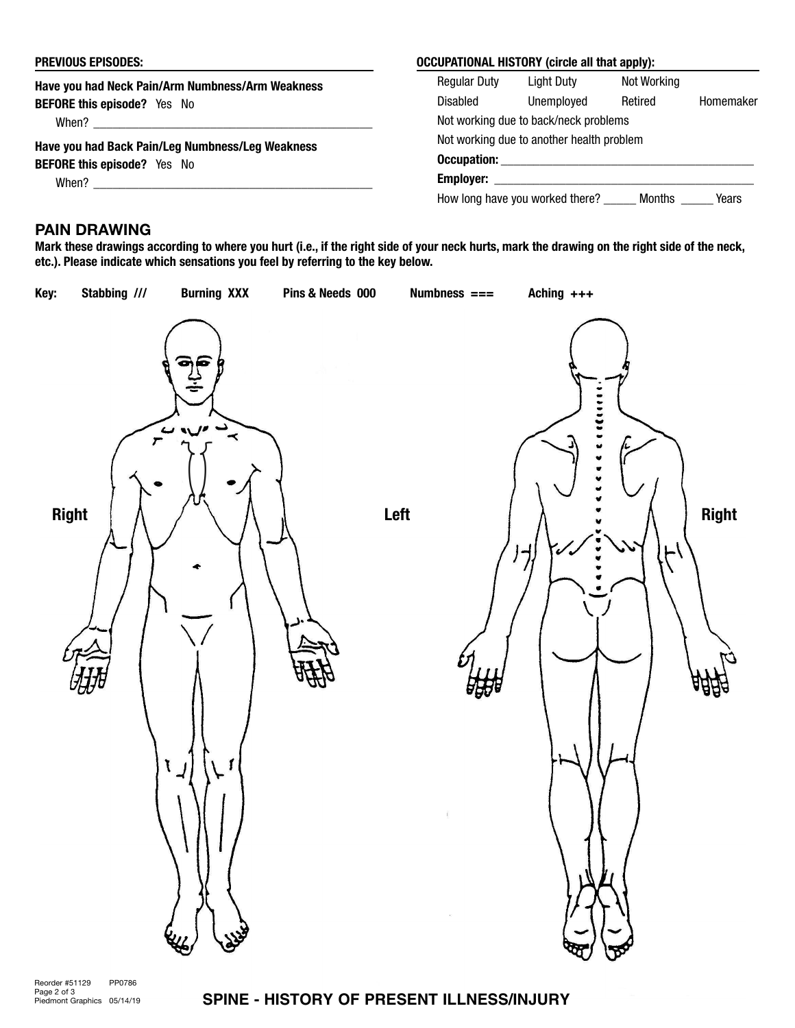| <b>PREVIOUS EPISODES:</b>                        | <b>OCCUPATIONAL HISTORY (circle all that apply):</b> |                                        |             |           |  |
|--------------------------------------------------|------------------------------------------------------|----------------------------------------|-------------|-----------|--|
| Have you had Neck Pain/Arm Numbness/Arm Weakness | <b>Regular Duty</b>                                  | Light Duty                             | Not Working |           |  |
| <b>BEFORE this episode?</b> Yes No               | Disabled                                             | Unemploved                             | Retired     | Homemaker |  |
| When?                                            | Not working due to back/neck problems                |                                        |             |           |  |
| Have you had Back Pain/Leg Numbness/Leg Weakness | Not working due to another health problem            |                                        |             |           |  |
| <b>BEFORE this episode?</b> Yes No               | <b>Occupation:</b><br><b>Employer:</b>               |                                        |             |           |  |
| When?                                            |                                                      |                                        |             |           |  |
|                                                  |                                                      | How long have you worked there? Months |             | Years     |  |

## PAIN DRAWING

Mark these drawings according to where you hurt (i.e., if the right side of your neck hurts, mark the drawing on the right side of the neck, etc.). Please indicate which sensations you feel by referring to the key below.



### **SPINE - HISTORY OF PRESENT ILLNESS/INJURY**